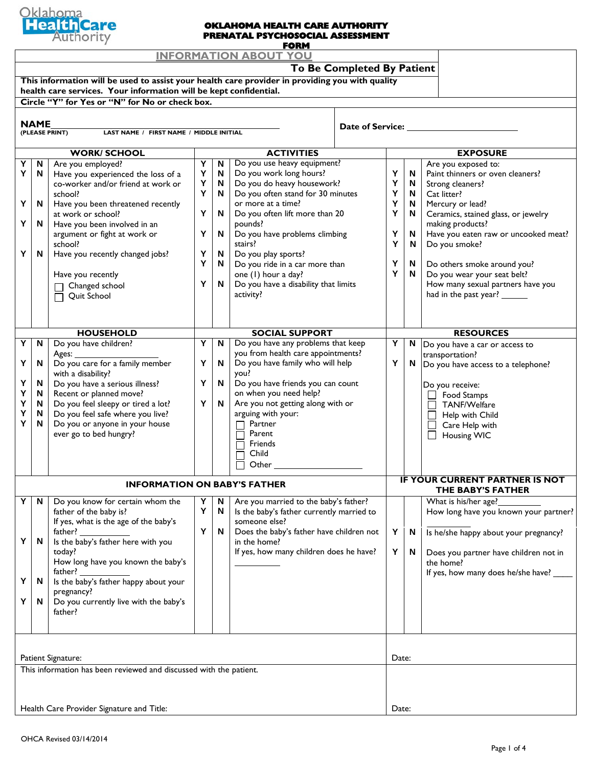

### **OKLAHOMA HEALTH CARE AUTHORITY PRENATAL PSYCHOSOCIAL ASSESSMENT**

| <b>FORM</b>                                                                                     |             |                                                                    |   |              |                                           |                    |                                       |   |                                       |  |  |
|-------------------------------------------------------------------------------------------------|-------------|--------------------------------------------------------------------|---|--------------|-------------------------------------------|--------------------|---------------------------------------|---|---------------------------------------|--|--|
| <b>INFORMATION ABOUT YOU</b>                                                                    |             |                                                                    |   |              |                                           |                    |                                       |   |                                       |  |  |
| To Be Completed By Patient                                                                      |             |                                                                    |   |              |                                           |                    |                                       |   |                                       |  |  |
| This information will be used to assist your health care provider in providing you with quality |             |                                                                    |   |              |                                           |                    |                                       |   |                                       |  |  |
| health care services. Your information will be kept confidential.                               |             |                                                                    |   |              |                                           |                    |                                       |   |                                       |  |  |
| Circle "Y" for Yes or "N" for No or check box.                                                  |             |                                                                    |   |              |                                           |                    |                                       |   |                                       |  |  |
|                                                                                                 |             |                                                                    |   |              |                                           |                    |                                       |   |                                       |  |  |
|                                                                                                 | <b>NAME</b> |                                                                    |   |              |                                           | Date of Service: _ |                                       |   |                                       |  |  |
|                                                                                                 |             | (PLEASE PRINT)<br>LAST NAME / FIRST NAME / MIDDLE INITIAL          |   |              |                                           |                    |                                       |   |                                       |  |  |
|                                                                                                 |             |                                                                    |   |              |                                           |                    |                                       |   |                                       |  |  |
|                                                                                                 |             | <b>WORK/SCHOOL</b>                                                 |   |              | <b>ACTIVITIES</b>                         |                    |                                       |   | <b>EXPOSURE</b>                       |  |  |
| Υ                                                                                               | N           | Are you employed?                                                  | Y | N            | Do you use heavy equipment?               |                    |                                       |   | Are you exposed to:                   |  |  |
| Υ                                                                                               | N           | Have you experienced the loss of a                                 | Y | N            | Do you work long hours?                   |                    | Y                                     | N | Paint thinners or oven cleaners?      |  |  |
|                                                                                                 |             | co-worker and/or friend at work or                                 | Υ | N            | Do you do heavy housework?                |                    | Υ                                     | N | Strong cleaners?                      |  |  |
|                                                                                                 |             | school?                                                            | Y | N            | Do you often stand for 30 minutes         |                    | Υ                                     | N | Cat litter?                           |  |  |
| Υ                                                                                               | N           | Have you been threatened recently                                  |   |              | or more at a time?                        |                    | Y                                     | N | Mercury or lead?                      |  |  |
|                                                                                                 |             | at work or school?                                                 | Υ | N            | Do you often lift more than 20            |                    | Υ                                     | N | Ceramics, stained glass, or jewelry   |  |  |
| Υ                                                                                               | N           | Have you been involved in an                                       |   |              | pounds?                                   |                    |                                       |   | making products?                      |  |  |
|                                                                                                 |             | argument or fight at work or                                       | Y | N            | Do you have problems climbing             |                    | Υ                                     | N | Have you eaten raw or uncooked meat?  |  |  |
|                                                                                                 |             | school?                                                            |   |              | stairs?                                   |                    | Υ                                     | N | Do you smoke?                         |  |  |
| Υ                                                                                               | N           | Have you recently changed jobs?                                    | Υ | N            | Do you play sports?                       |                    |                                       |   |                                       |  |  |
|                                                                                                 |             |                                                                    | Y | N            | Do you ride in a car more than            |                    | Υ                                     | N | Do others smoke around you?           |  |  |
|                                                                                                 |             | Have you recently                                                  |   |              | one (1) hour a day?                       |                    | Y                                     | N | Do you wear your seat belt?           |  |  |
|                                                                                                 |             | Changed school                                                     | Υ | N            | Do you have a disability that limits      |                    |                                       |   | How many sexual partners have you     |  |  |
|                                                                                                 |             | Quit School                                                        |   |              | activity?                                 |                    |                                       |   | had in the past year? ______          |  |  |
|                                                                                                 |             |                                                                    |   |              |                                           |                    |                                       |   |                                       |  |  |
|                                                                                                 |             |                                                                    |   |              |                                           |                    |                                       |   |                                       |  |  |
|                                                                                                 |             |                                                                    |   |              |                                           |                    |                                       |   |                                       |  |  |
|                                                                                                 |             | <b>HOUSEHOLD</b>                                                   |   |              | <b>SOCIAL SUPPORT</b>                     |                    |                                       |   | <b>RESOURCES</b>                      |  |  |
| Υ                                                                                               | N           | Do you have children?                                              | Y | N            | Do you have any problems that keep        |                    | Υ                                     | N | Do you have a car or access to        |  |  |
|                                                                                                 |             | Ages:                                                              |   |              | you from health care appointments?        |                    |                                       |   | transportation?                       |  |  |
| Υ                                                                                               | N           | Do you care for a family member                                    | Υ | $\mathsf{N}$ | Do you have family who will help          |                    | Υ                                     | N | Do you have access to a telephone?    |  |  |
|                                                                                                 |             | with a disability?                                                 |   |              | you?                                      |                    |                                       |   |                                       |  |  |
| Υ                                                                                               | N           | Do you have a serious illness?                                     | Υ | N            | Do you have friends you can count         |                    |                                       |   | Do you receive:                       |  |  |
| Υ                                                                                               | N           | Recent or planned move?                                            | Y | N            | on when you need help?                    |                    |                                       |   | Food Stamps<br>$\perp$                |  |  |
| Υ                                                                                               | N           | Do you feel sleepy or tired a lot?                                 |   |              | Are you not getting along with or         |                    |                                       |   | TANF/Welfare                          |  |  |
| Υ<br>Y                                                                                          | N<br>N      | Do you feel safe where you live?<br>Do you or anyone in your house |   |              | arguing with your:<br>Partner             |                    |                                       |   | Help with Child                       |  |  |
|                                                                                                 |             | ever go to bed hungry?                                             |   |              | Parent                                    |                    |                                       |   | Care Help with                        |  |  |
|                                                                                                 |             |                                                                    |   |              | Friends                                   |                    |                                       |   | Housing WIC                           |  |  |
|                                                                                                 |             |                                                                    |   |              | Child                                     |                    |                                       |   |                                       |  |  |
|                                                                                                 |             |                                                                    |   |              |                                           |                    |                                       |   |                                       |  |  |
|                                                                                                 |             |                                                                    |   |              | Other                                     |                    |                                       |   |                                       |  |  |
|                                                                                                 |             | <b>INFORMATION ON BABY'S FATHER</b>                                |   |              |                                           |                    | <b>IF YOUR CURRENT PARTNER IS NOT</b> |   |                                       |  |  |
|                                                                                                 |             |                                                                    |   |              |                                           |                    |                                       |   | THE BABY'S FATHER                     |  |  |
| Υ                                                                                               | N,          | Do you know for certain whom the                                   | Y | N            | Are you married to the baby's father?     |                    |                                       |   | What is his/her age?                  |  |  |
|                                                                                                 |             | father of the baby is?                                             | Y | N            | Is the baby's father currently married to |                    |                                       |   | How long have you known your partner? |  |  |
|                                                                                                 |             | If yes, what is the age of the baby's                              |   |              | someone else?                             |                    |                                       |   |                                       |  |  |
|                                                                                                 |             | father?                                                            | Y | N            | Does the baby's father have children not  |                    | Y                                     | N | Is he/she happy about your pregnancy? |  |  |
| Υ                                                                                               | N           | Is the baby's father here with you                                 |   |              | in the home?                              |                    |                                       |   |                                       |  |  |
|                                                                                                 |             | today?                                                             |   |              | If yes, how many children does he have?   |                    | Y                                     | N | Does you partner have children not in |  |  |
|                                                                                                 |             | How long have you known the baby's                                 |   |              |                                           |                    |                                       |   | the home?                             |  |  |
|                                                                                                 |             | father?                                                            |   |              |                                           |                    |                                       |   | If yes, how many does he/she have? _  |  |  |
| Υ                                                                                               | N           | Is the baby's father happy about your                              |   |              |                                           |                    |                                       |   |                                       |  |  |
|                                                                                                 |             | pregnancy?                                                         |   |              |                                           |                    |                                       |   |                                       |  |  |
| Υ                                                                                               | N           | Do you currently live with the baby's                              |   |              |                                           |                    |                                       |   |                                       |  |  |
|                                                                                                 |             | father?                                                            |   |              |                                           |                    |                                       |   |                                       |  |  |
|                                                                                                 |             |                                                                    |   |              |                                           |                    |                                       |   |                                       |  |  |
|                                                                                                 |             |                                                                    |   |              |                                           |                    |                                       |   |                                       |  |  |
|                                                                                                 |             |                                                                    |   |              |                                           |                    |                                       |   |                                       |  |  |
|                                                                                                 |             |                                                                    |   |              |                                           |                    |                                       |   |                                       |  |  |
| Patient Signature:                                                                              |             |                                                                    |   |              |                                           |                    |                                       |   | Date:                                 |  |  |
| This information has been reviewed and discussed with the patient.                              |             |                                                                    |   |              |                                           |                    |                                       |   |                                       |  |  |
|                                                                                                 |             |                                                                    |   |              |                                           |                    |                                       |   |                                       |  |  |
|                                                                                                 |             |                                                                    |   |              |                                           |                    |                                       |   |                                       |  |  |
|                                                                                                 |             | Health Care Provider Signature and Title:                          |   |              |                                           |                    | Date:                                 |   |                                       |  |  |
|                                                                                                 |             |                                                                    |   |              |                                           |                    |                                       |   |                                       |  |  |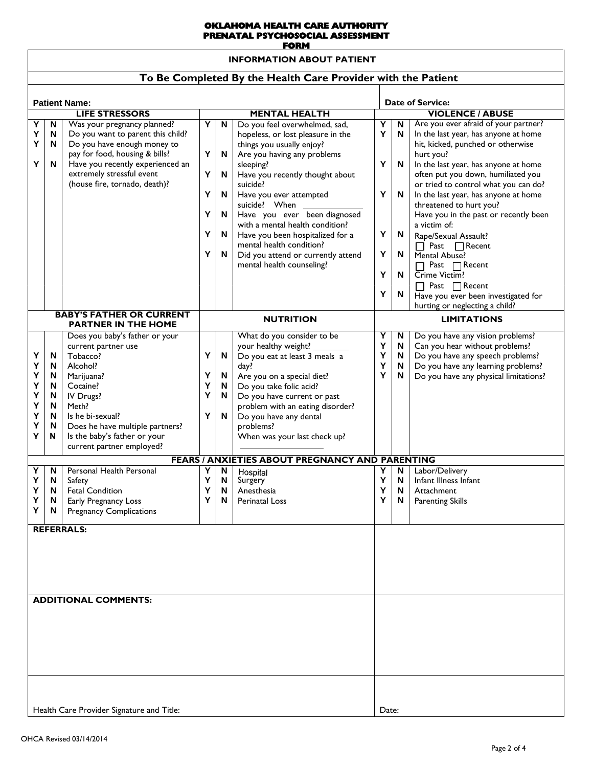#### **OKLAHOMA HEALTH CARE AUTHORITY PRENATAL PSYCHOSOCIAL ASSESSMENT FORM**

**INFORMATION ABOUT PATIENT**

### **To Be Completed By the Health Care Provider with the Patient**

|                                                  |                                           |                                                                                                                                                                                                                                                                                 |                            |                                                         |                                                                                                                                                                                                                                                                                                                                                                                                             |                                      | <b>Date of Service:</b>                                               |                                                                                                                                                                                                                                                                                                                                                                                                                                                                                                                                              |  |  |
|--------------------------------------------------|-------------------------------------------|---------------------------------------------------------------------------------------------------------------------------------------------------------------------------------------------------------------------------------------------------------------------------------|----------------------------|---------------------------------------------------------|-------------------------------------------------------------------------------------------------------------------------------------------------------------------------------------------------------------------------------------------------------------------------------------------------------------------------------------------------------------------------------------------------------------|--------------------------------------|-----------------------------------------------------------------------|----------------------------------------------------------------------------------------------------------------------------------------------------------------------------------------------------------------------------------------------------------------------------------------------------------------------------------------------------------------------------------------------------------------------------------------------------------------------------------------------------------------------------------------------|--|--|
| <b>Patient Name:</b><br><b>LIFE STRESSORS</b>    |                                           |                                                                                                                                                                                                                                                                                 | <b>MENTAL HEALTH</b>       |                                                         |                                                                                                                                                                                                                                                                                                                                                                                                             | <b>VIOLENCE / ABUSE</b>              |                                                                       |                                                                                                                                                                                                                                                                                                                                                                                                                                                                                                                                              |  |  |
| $\overline{\mathsf{N}}$                          |                                           | Υ<br>$\mathsf N$<br>Do you feel overwhelmed, sad,                                                                                                                                                                                                                               |                            |                                                         | Are you ever afraid of your partner?<br>N                                                                                                                                                                                                                                                                                                                                                                   |                                      |                                                                       |                                                                                                                                                                                                                                                                                                                                                                                                                                                                                                                                              |  |  |
| Υ<br>Υ<br>Υ<br>Y                                 | N<br>N<br>N                               | Was your pregnancy planned?<br>Do you want to parent this child?<br>Do you have enough money to<br>pay for food, housing & bills?<br>Have you recently experienced an<br>extremely stressful event<br>(house fire, tornado, death)?                                             | Υ<br>Υ<br>Υ<br>Υ<br>Υ<br>Υ | $\mathsf N$<br>N<br>N<br>N<br>N<br>N                    | hopeless, or lost pleasure in the<br>things you usually enjoy?<br>Are you having any problems<br>sleeping?<br>Have you recently thought about<br>suicide?<br>Have you ever attempted<br>suicide? When<br>Have you ever been diagnosed<br>with a mental health condition?<br>Have you been hospitalized for a<br>mental health condition?<br>Did you attend or currently attend<br>mental health counseling? | Υ<br>Y<br>Y<br>Y<br>Υ<br>Y<br>Y<br>Y | ${\sf N}$<br>N<br>N<br>N<br>N<br>N<br>N                               | In the last year, has anyone at home<br>hit, kicked, punched or otherwise<br>hurt you?<br>In the last year, has anyone at home<br>often put you down, humiliated you<br>or tried to control what you can do?<br>In the last year, has anyone at home<br>threatened to hurt you?<br>Have you in the past or recently been<br>a victim of:<br>Rape/Sexual Assault?<br>$\Box$ Past $\Box$ Recent<br>Mental Abuse?<br>Past $\Box$ Recent<br>П<br>Crime Victim?<br>$\Box$ Past $\Box$ Recent<br>$\overline{H}$ ave you ever been investigated for |  |  |
| <b>BABY'S FATHER OR CURRENT</b>                  |                                           | <b>NUTRITION</b>                                                                                                                                                                                                                                                                |                            |                                                         | hurting or neglecting a child?<br><b>LIMITATIONS</b>                                                                                                                                                                                                                                                                                                                                                        |                                      |                                                                       |                                                                                                                                                                                                                                                                                                                                                                                                                                                                                                                                              |  |  |
| Υ<br>Υ<br>Υ<br>Υ<br>Υ<br>Υ<br>Υ<br>Y<br>Y        | N<br>N<br>N<br>N<br>N<br>N<br>N<br>N<br>N | <b>PARTNER IN THE HOME</b><br>Does you baby's father or your<br>current partner use<br>Tobacco?<br>Alcohol?<br>Marijuana?<br>Cocaine?<br>IV Drugs?<br>Meth?<br>Is he bi-sexual?<br>Does he have multiple partners?<br>Is the baby's father or your<br>current partner employed? | Υ<br>Y<br>Υ<br>Y<br>Y      | N<br>N<br>$\boldsymbol{\mathsf{N}}$<br>N<br>$\mathsf N$ | What do you consider to be<br>your healthy weight? _<br>Do you eat at least 3 meals a<br>day?<br>Are you on a special diet?<br>Do you take folic acid?<br>Do you have current or past<br>problem with an eating disorder?<br>Do you have any dental<br>problems?<br>When was your last check up?<br><b>FEARS / ANXIETIES ABOUT PREGNANCY AND PARENTING</b>                                                  | Υ<br>Y<br>Υ<br>Y<br>Υ                | N<br>N<br>$\boldsymbol{\mathsf{N}}$<br>$\boldsymbol{\mathsf{N}}$<br>N | Do you have any vision problems?<br>Can you hear without problems?<br>Do you have any speech problems?<br>Do you have any learning problems?<br>Do you have any physical limitations?                                                                                                                                                                                                                                                                                                                                                        |  |  |
| Υ                                                | N                                         | Personal Health Personal                                                                                                                                                                                                                                                        | Y                          | N                                                       | Hospital                                                                                                                                                                                                                                                                                                                                                                                                    | Υ                                    | N                                                                     | Labor/Delivery                                                                                                                                                                                                                                                                                                                                                                                                                                                                                                                               |  |  |
| Υ<br>Υ<br>Υ<br>Υ                                 | N<br>N<br>N<br>N                          | Safety<br><b>Fetal Condition</b><br>Early Pregnancy Loss<br><b>Pregnancy Complications</b>                                                                                                                                                                                      | Y<br>Υ<br>Υ                | N<br>N<br>N                                             | Surgery<br>Anesthesia<br><b>Perinatal Loss</b>                                                                                                                                                                                                                                                                                                                                                              | Υ<br>Y<br>Y                          | $\boldsymbol{\mathsf{N}}$<br>$\boldsymbol{\mathsf{N}}$<br>N           | Infant Illness Infant<br>Attachment<br><b>Parenting Skills</b>                                                                                                                                                                                                                                                                                                                                                                                                                                                                               |  |  |
| <b>REFERRALS:</b><br><b>ADDITIONAL COMMENTS:</b> |                                           |                                                                                                                                                                                                                                                                                 |                            |                                                         |                                                                                                                                                                                                                                                                                                                                                                                                             |                                      |                                                                       |                                                                                                                                                                                                                                                                                                                                                                                                                                                                                                                                              |  |  |
| Health Care Provider Signature and Title:        |                                           |                                                                                                                                                                                                                                                                                 |                            |                                                         |                                                                                                                                                                                                                                                                                                                                                                                                             |                                      |                                                                       |                                                                                                                                                                                                                                                                                                                                                                                                                                                                                                                                              |  |  |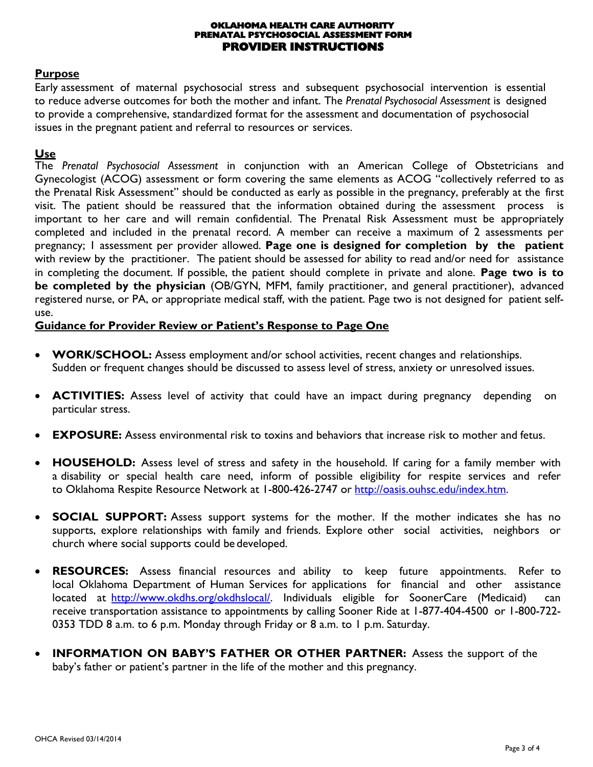#### **OKLAHOMA HEALTH CARE AUTHORITY PRENATAL PSYCHOSOCIAL ASSESSMENT FORM PROVIDER INSTRUCTIONS**

### **Purpose**

Early assessment of maternal psychosocial stress and subsequent psychosocial intervention is essential to reduce adverse outcomes for both the mother and infant. The *Prenatal Psychosocial Assessment* is designed to provide a comprehensive, standardized format for the assessment and documentation of psychosocial issues in the pregnant patient and referral to resources or services.

### **Use**

The *Prenatal Psychosocial Assessment* in conjunction with an American College of Obstetricians and Gynecologist (ACOG) assessment or form covering the same elements as ACOG "collectively referred to as the Prenatal Risk Assessment" should be conducted as early as possible in the pregnancy, preferably at the first visit. The patient should be reassured that the information obtained during the assessment process is important to her care and will remain confidential. The Prenatal Risk Assessment must be appropriately completed and included in the prenatal record. A member can receive a maximum of 2 assessments per pregnancy; 1 assessment per provider allowed. **Page one is designed for completion by the patient**  with review by the practitioner. The patient should be assessed for ability to read and/or need for assistance in completing the document. If possible, the patient should complete in private and alone. **Page two is to be completed by the physician** (OB/GYN, MFM, family practitioner, and general practitioner), advanced registered nurse, or PA, or appropriate medical staff, with the patient. Page two is not designed for patient selfuse.

### **Guidance for Provider Review or Patient's Response to Page One**

- **WORK/SCHOOL:** Assess employment and/or school activities, recent changes and relationships. Sudden or frequent changes should be discussed to assess level of stress, anxiety or unresolved issues.
- **ACTIVITIES:** Assess level of activity that could have an impact during pregnancy depending on particular stress.
- **EXPOSURE:** Assess environmental risk to toxins and behaviors that increase risk to mother and fetus.
- **HOUSEHOLD:** Assess level of stress and safety in the household. If caring for a family member with a disability or special health care need, inform of possible eligibility for respite services and refer to Oklahoma Respite Resource Network at 1-800-426-2747 or [http://oasis.ouhsc.edu/index.htm.](http://oasis.ouhsc.edu/index.htm)
- **SOCIAL SUPPORT:** Assess support systems for the mother. If the mother indicates she has no supports, explore relationships with family and friends. Explore other social activities, neighbors or church where social supports could be developed.
- **RESOURCES:** Assess financial resources and ability to keep future appointments. Refer to local Oklahoma Department of Human Services for applications for financial and other assistanc[e](http://www.okdhs.org/okdhslocal/) [located at](http://www.okdhs.org/okdhslocal/) [http://www.okdhs.org/okdhslocal/.](http://www.okdhs.org/okdhslocal/) Individuals eligible for SoonerCare (Medicaid) can receive transportation assistance to appointments by calling Sooner Ride at 1-877-404-4500 or 1-800-722- 0353 TDD 8 a.m. to 6 p.m. Monday through Friday or 8 a.m. to 1 p.m. Saturday.
- **INFORMATION ON BABY'S FATHER OR OTHER PARTNER:** Assess the support of the baby's father or patient's partner in the life of the mother and this pregnancy.